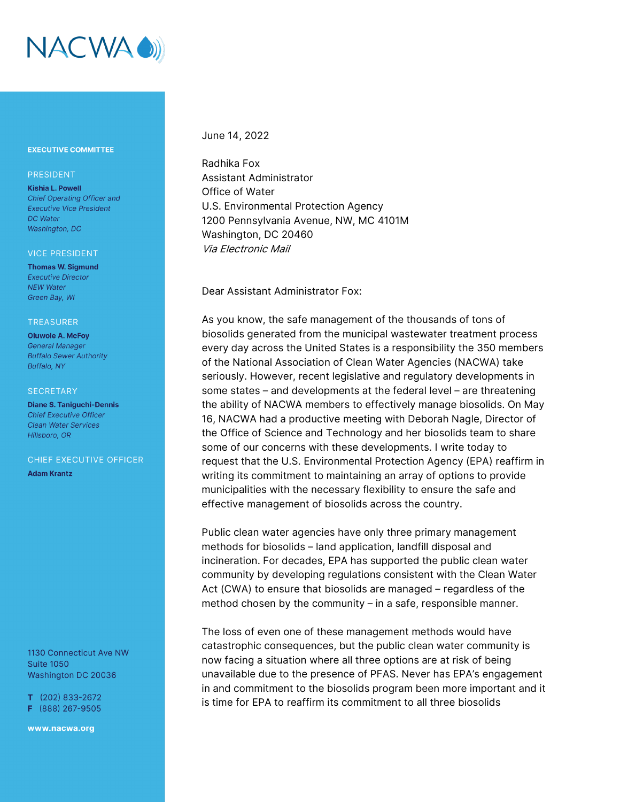

## **EXECUTIVE COMMITTEE**

## PRESIDENT

**Kishia L. Powell** Chief Operating Officer and **Executive Vice President** DC Water Washington, DC

#### **VICE PRESIDENT**

**Thomas W. Sigmund Executive Director NEW Water** Green Bay, WI

#### **TREASURER**

**Oluwole A. McFoy General Manager Buffalo Sewer Authority** Buffalo, NY

### **SECRETARY**

**Diane S. Taniquchi-Dennis Chief Executive Officer Clean Water Services** Hillsboro, OR

CHIEF EXECUTIVE OFFICER **Adam Krantz** 

1130 Connecticut Ave NW **Suite 1050** Washington DC 20036

 $T$  (202) 833-2672 F (888) 267-9505

www.nacwa.org

# June 14, 2022

Radhika Fox Assistant Administrator Office of Water U.S. Environmental Protection Agency 1200 Pennsylvania Avenue, NW, MC 4101M Washington, DC 20460 Via Electronic Mail

Dear Assistant Administrator Fox:

As you know, the safe management of the thousands of tons of biosolids generated from the municipal wastewater treatment process every day across the United States is a responsibility the 350 members of the National Association of Clean Water Agencies (NACWA) take seriously. However, recent legislative and regulatory developments in some states – and developments at the federal level – are threatening the ability of NACWA members to effectively manage biosolids. On May 16, NACWA had a productive meeting with Deborah Nagle, Director of the Office of Science and Technology and her biosolids team to share some of our concerns with these developments. I write today to request that the U.S. Environmental Protection Agency (EPA) reaffirm in writing its commitment to maintaining an array of options to provide municipalities with the necessary flexibility to ensure the safe and effective management of biosolids across the country.

Public clean water agencies have only three primary management methods for biosolids – land application, landfill disposal and incineration. For decades, EPA has supported the public clean water community by developing regulations consistent with the Clean Water Act (CWA) to ensure that biosolids are managed – regardless of the method chosen by the community – in a safe, responsible manner.

The loss of even one of these management methods would have catastrophic consequences, but the public clean water community is now facing a situation where all three options are at risk of being unavailable due to the presence of PFAS. Never has EPA's engagement in and commitment to the biosolids program been more important and it is time for EPA to reaffirm its commitment to all three biosolids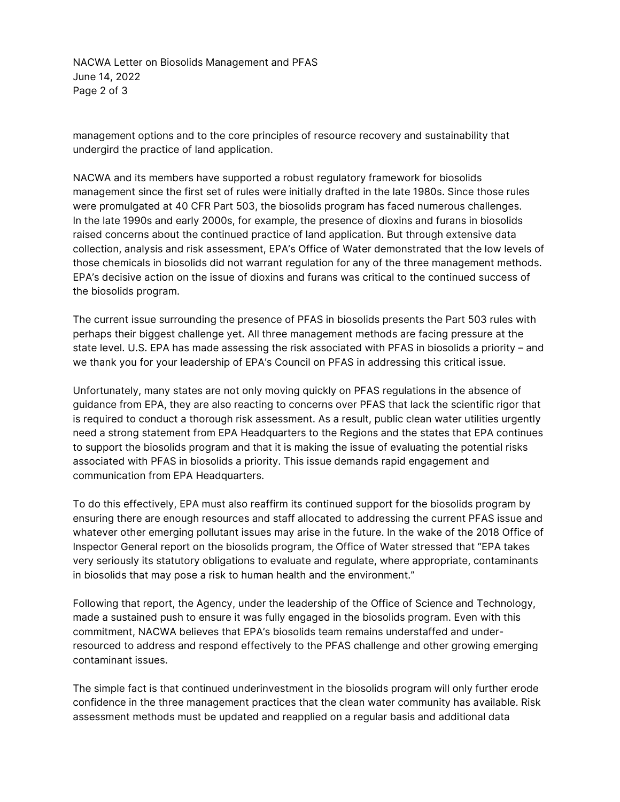NACWA Letter on Biosolids Management and PFAS June 14, 2022 Page 2 of 3

management options and to the core principles of resource recovery and sustainability that undergird the practice of land application.

NACWA and its members have supported a robust regulatory framework for biosolids management since the first set of rules were initially drafted in the late 1980s. Since those rules were promulgated at 40 CFR Part 503, the biosolids program has faced numerous challenges. In the late 1990s and early 2000s, for example, the presence of dioxins and furans in biosolids raised concerns about the continued practice of land application. But through extensive data collection, analysis and risk assessment, EPA's Office of Water demonstrated that the low levels of those chemicals in biosolids did not warrant regulation for any of the three management methods. EPA's decisive action on the issue of dioxins and furans was critical to the continued success of the biosolids program.

The current issue surrounding the presence of PFAS in biosolids presents the Part 503 rules with perhaps their biggest challenge yet. All three management methods are facing pressure at the state level. U.S. EPA has made assessing the risk associated with PFAS in biosolids a priority – and we thank you for your leadership of EPA's Council on PFAS in addressing this critical issue.

Unfortunately, many states are not only moving quickly on PFAS regulations in the absence of guidance from EPA, they are also reacting to concerns over PFAS that lack the scientific rigor that is required to conduct a thorough risk assessment. As a result, public clean water utilities urgently need a strong statement from EPA Headquarters to the Regions and the states that EPA continues to support the biosolids program and that it is making the issue of evaluating the potential risks associated with PFAS in biosolids a priority. This issue demands rapid engagement and communication from EPA Headquarters.

To do this effectively, EPA must also reaffirm its continued support for the biosolids program by ensuring there are enough resources and staff allocated to addressing the current PFAS issue and whatever other emerging pollutant issues may arise in the future. In the wake of the 2018 Office of Inspector General report on the biosolids program, the Office of Water stressed that "EPA takes very seriously its statutory obligations to evaluate and regulate, where appropriate, contaminants in biosolids that may pose a risk to human health and the environment."

Following that report, the Agency, under the leadership of the Office of Science and Technology, made a sustained push to ensure it was fully engaged in the biosolids program. Even with this commitment, NACWA believes that EPA's biosolids team remains understaffed and underresourced to address and respond effectively to the PFAS challenge and other growing emerging contaminant issues.

The simple fact is that continued underinvestment in the biosolids program will only further erode confidence in the three management practices that the clean water community has available. Risk assessment methods must be updated and reapplied on a regular basis and additional data